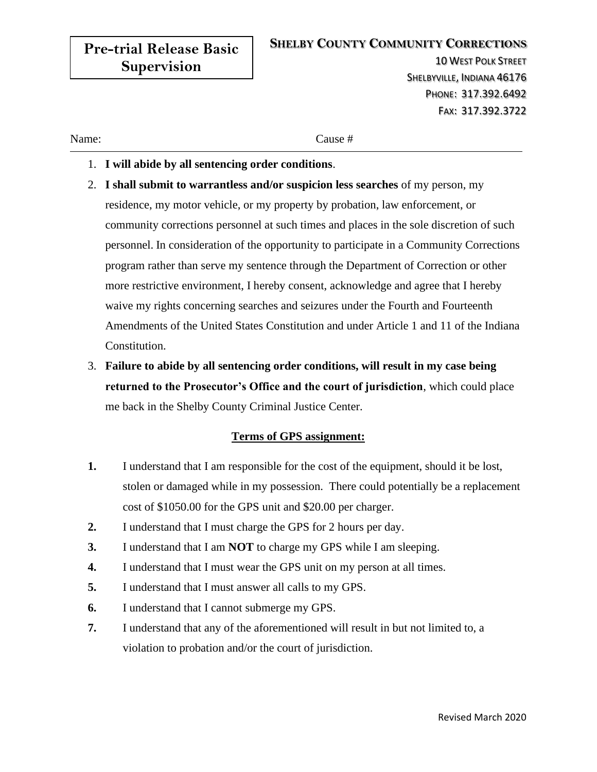| <b>Pre-trial Release Basic</b> | <b>SHELBY COUNTY COMMUNITY CORRECTIONS</b><br><b>10 WEST POLK STREET</b> |  |
|--------------------------------|--------------------------------------------------------------------------|--|
| <b>Supervision</b>             | SHELBYVILLE, INDIANA 46176                                               |  |
|                                | PHONE: 317.392.6492                                                      |  |
|                                | FAX: 317.392.3722                                                        |  |
| Name:                          | Cause #                                                                  |  |

- 1. **I will abide by all sentencing order conditions**.
- 2. **I shall submit to warrantless and/or suspicion less searches** of my person, my residence, my motor vehicle, or my property by probation, law enforcement, or community corrections personnel at such times and places in the sole discretion of such personnel. In consideration of the opportunity to participate in a Community Corrections program rather than serve my sentence through the Department of Correction or other more restrictive environment, I hereby consent, acknowledge and agree that I hereby waive my rights concerning searches and seizures under the Fourth and Fourteenth Amendments of the United States Constitution and under Article 1 and 11 of the Indiana Constitution.
- 3. **Failure to abide by all sentencing order conditions, will result in my case being returned to the Prosecutor's Office and the court of jurisdiction**, which could place me back in the Shelby County Criminal Justice Center.

## **Terms of GPS assignment:**

- **1.** I understand that I am responsible for the cost of the equipment, should it be lost, stolen or damaged while in my possession. There could potentially be a replacement cost of \$1050.00 for the GPS unit and \$20.00 per charger.
- **2.** I understand that I must charge the GPS for 2 hours per day.
- **3.** I understand that I am **NOT** to charge my GPS while I am sleeping.
- **4.** I understand that I must wear the GPS unit on my person at all times.
- **5.** I understand that I must answer all calls to my GPS.
- **6.** I understand that I cannot submerge my GPS.
- **7.** I understand that any of the aforementioned will result in but not limited to, a violation to probation and/or the court of jurisdiction.